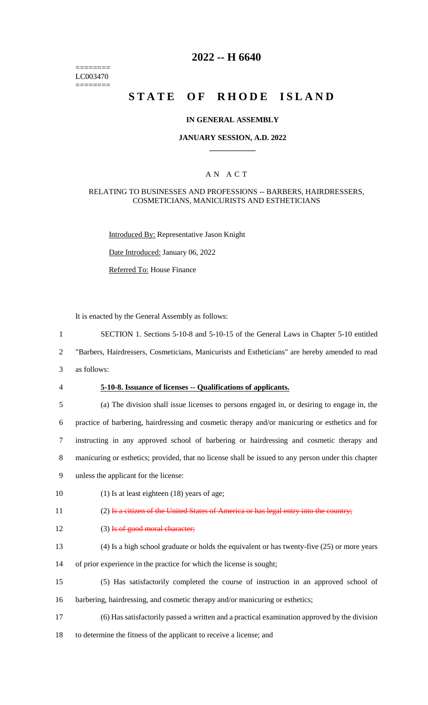======== LC003470 ========

## **2022 -- H 6640**

## **STATE OF RHODE ISLAND**

#### **IN GENERAL ASSEMBLY**

#### **JANUARY SESSION, A.D. 2022 \_\_\_\_\_\_\_\_\_\_\_\_**

#### A N A C T

#### RELATING TO BUSINESSES AND PROFESSIONS -- BARBERS, HAIRDRESSERS, COSMETICIANS, MANICURISTS AND ESTHETICIANS

Introduced By: Representative Jason Knight

Date Introduced: January 06, 2022

Referred To: House Finance

It is enacted by the General Assembly as follows:

- 1 SECTION 1. Sections 5-10-8 and 5-10-15 of the General Laws in Chapter 5-10 entitled
- 2 "Barbers, Hairdressers, Cosmeticians, Manicurists and Estheticians" are hereby amended to read
- 3 as follows:
- 

#### 4 **5-10-8. Issuance of licenses -- Qualifications of applicants.**

- 5 (a) The division shall issue licenses to persons engaged in, or desiring to engage in, the 6 practice of barbering, hairdressing and cosmetic therapy and/or manicuring or esthetics and for 7 instructing in any approved school of barbering or hairdressing and cosmetic therapy and 8 manicuring or esthetics; provided, that no license shall be issued to any person under this chapter
- 9 unless the applicant for the license:
- 10 (1) Is at least eighteen (18) years of age;

11 (2) Is a citizen of the United States of America or has legal entry into the country;

- 12 (3) Is of good moral character;
- 13 (4) Is a high school graduate or holds the equivalent or has twenty-five (25) or more years
- 14 of prior experience in the practice for which the license is sought;
- 15 (5) Has satisfactorily completed the course of instruction in an approved school of 16 barbering, hairdressing, and cosmetic therapy and/or manicuring or esthetics;
- 17 (6) Has satisfactorily passed a written and a practical examination approved by the division
- 18 to determine the fitness of the applicant to receive a license; and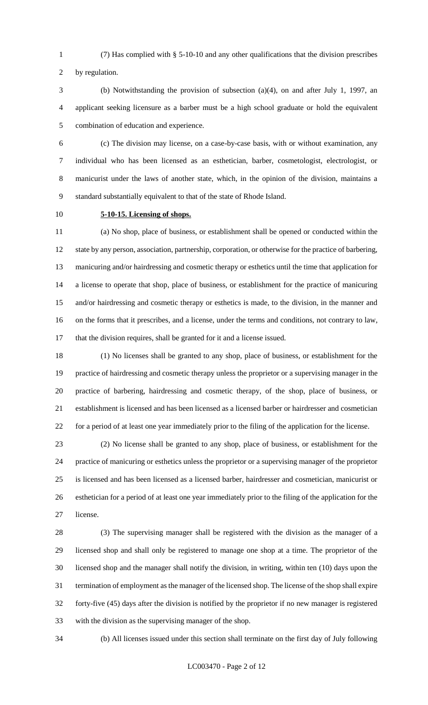(7) Has complied with § 5-10-10 and any other qualifications that the division prescribes

by regulation.

 (b) Notwithstanding the provision of subsection (a)(4), on and after July 1, 1997, an applicant seeking licensure as a barber must be a high school graduate or hold the equivalent combination of education and experience.

 (c) The division may license, on a case-by-case basis, with or without examination, any individual who has been licensed as an esthetician, barber, cosmetologist, electrologist, or manicurist under the laws of another state, which, in the opinion of the division, maintains a standard substantially equivalent to that of the state of Rhode Island.

## **5-10-15. Licensing of shops.**

 (a) No shop, place of business, or establishment shall be opened or conducted within the 12 state by any person, association, partnership, corporation, or otherwise for the practice of barbering, manicuring and/or hairdressing and cosmetic therapy or esthetics until the time that application for a license to operate that shop, place of business, or establishment for the practice of manicuring and/or hairdressing and cosmetic therapy or esthetics is made, to the division, in the manner and on the forms that it prescribes, and a license, under the terms and conditions, not contrary to law, that the division requires, shall be granted for it and a license issued.

 (1) No licenses shall be granted to any shop, place of business, or establishment for the practice of hairdressing and cosmetic therapy unless the proprietor or a supervising manager in the practice of barbering, hairdressing and cosmetic therapy, of the shop, place of business, or establishment is licensed and has been licensed as a licensed barber or hairdresser and cosmetician for a period of at least one year immediately prior to the filing of the application for the license.

 (2) No license shall be granted to any shop, place of business, or establishment for the practice of manicuring or esthetics unless the proprietor or a supervising manager of the proprietor is licensed and has been licensed as a licensed barber, hairdresser and cosmetician, manicurist or esthetician for a period of at least one year immediately prior to the filing of the application for the license.

 (3) The supervising manager shall be registered with the division as the manager of a licensed shop and shall only be registered to manage one shop at a time. The proprietor of the licensed shop and the manager shall notify the division, in writing, within ten (10) days upon the termination of employment as the manager of the licensed shop. The license of the shop shall expire forty-five (45) days after the division is notified by the proprietor if no new manager is registered with the division as the supervising manager of the shop.

(b) All licenses issued under this section shall terminate on the first day of July following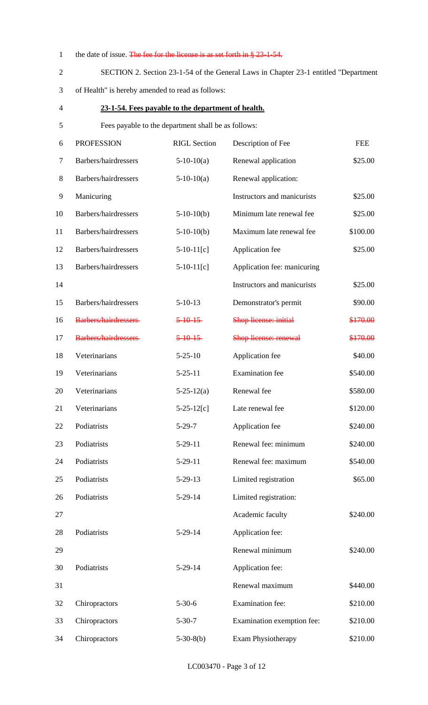|  |  | the date of issue. The fee for the license is as set forth in $\S 23 - 1 - 54$ . |
|--|--|----------------------------------------------------------------------------------|
|  |  |                                                                                  |

**23-1-54. Fees payable to the department of health.**

## SECTION 2. Section 23-1-54 of the General Laws in Chapter 23-1 entitled "Department

of Health" is hereby amended to read as follows:

# Fees payable to the department shall be as follows: PROFESSION RIGL Section Description of Fee FEE 7 Barbers/hairdressers 5-10-10(a) Renewal application \$25.00 8 Barbers/hairdressers 5-10-10(a) Renewal application: 9 Manicuring 19 Manicurists \$25.00 Barbers/hairdressers 5-10-10(b) Minimum late renewal fee \$25.00 Barbers/hairdressers 5-10-10(b) Maximum late renewal fee \$100.00 12 Barbers/hairdressers 5-10-11[c] Application fee \$25.00 Barbers/hairdressers 5-10-11[c] Application fee: manicuring 14 Instructors and manicurists \$25.00 Barbers/hairdressers 5-10-13 Demonstrator's permit \$90.00 16 Barbers/hairdressers 5-10-15 Shop license: initial \$170.00 17 Barbers/hairdressers 5-10-15 Shop license: renewal \$170.00

| 18 | Veterinarians | $5 - 25 - 10$    | Application fee        | \$40.00  |
|----|---------------|------------------|------------------------|----------|
| 19 | Veterinarians | $5 - 25 - 11$    | <b>Examination</b> fee | \$540.00 |
| 20 | Veterinarians | $5 - 25 - 12(a)$ | Renewal fee            | \$580.00 |
| 21 | Veterinarians | $5-25-12[c]$     | Late renewal fee       | \$120.00 |
| 22 | Podiatrists   | $5-29-7$         | Application fee        | \$240.00 |
| 23 | Podiatrists   | $5-29-11$        | Renewal fee: minimum   | \$240.00 |
| 24 | Podiatrists   | $5-29-11$        | Renewal fee: maximum   | \$540.00 |
| 25 | Podiatrists   | $5 - 29 - 13$    | Limited registration   | \$65.00  |
| 26 | Podiatrists   | $5-29-14$        | Limited registration:  |          |
| 27 |               |                  | Academic faculty       | \$240.00 |
| 28 | Podiatrists   | $5-29-14$        | Application fee:       |          |
| 29 |               |                  | Renewal minimum        | \$240.00 |
| 30 | Podiatrists   | $5-29-14$        | Application fee:       |          |
| 31 |               |                  | Renewal maximum        | \$440.00 |
|    |               |                  |                        |          |

Chiropractors 5-30-6 Examination fee: \$210.00

Chiropractors 5-30-7 Examination exemption fee: \$210.00

34 Chiropractors 5-30-8(b) Exam Physiotherapy \$210.00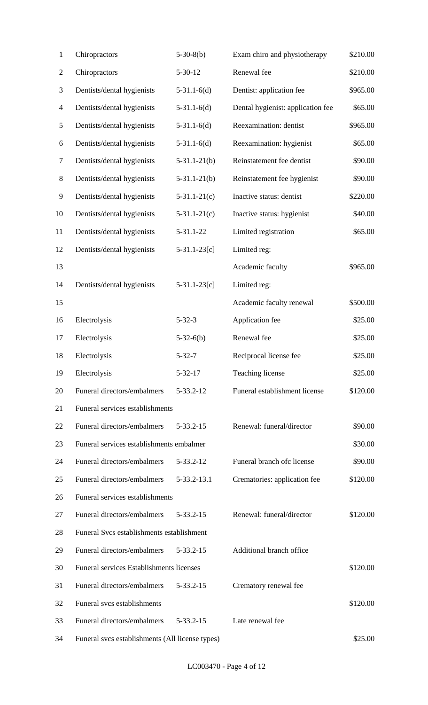| $\mathbf{1}$             | Chiropractors                                   | $5-30-8(b)$     | Exam chiro and physiotherapy      | \$210.00 |
|--------------------------|-------------------------------------------------|-----------------|-----------------------------------|----------|
| $\overline{c}$           | Chiropractors                                   | $5 - 30 - 12$   | Renewal fee                       | \$210.00 |
| 3                        | Dentists/dental hygienists                      | $5-31.1-6(d)$   | Dentist: application fee          | \$965.00 |
| $\overline{\mathcal{A}}$ | Dentists/dental hygienists                      | $5-31.1-6(d)$   | Dental hygienist: application fee | \$65.00  |
| 5                        | Dentists/dental hygienists                      | $5-31.1-6(d)$   | Reexamination: dentist            | \$965.00 |
| 6                        | Dentists/dental hygienists                      | $5-31.1-6(d)$   | Reexamination: hygienist          | \$65.00  |
| $\boldsymbol{7}$         | Dentists/dental hygienists                      | $5-31.1-21(b)$  | Reinstatement fee dentist         | \$90.00  |
| $8\,$                    | Dentists/dental hygienists                      | $5-31.1-21(b)$  | Reinstatement fee hygienist       | \$90.00  |
| $\mathbf{9}$             | Dentists/dental hygienists                      | $5-31.1-21(c)$  | Inactive status: dentist          | \$220.00 |
| 10                       | Dentists/dental hygienists                      | $5-31.1-21(c)$  | Inactive status: hygienist        | \$40.00  |
| 11                       | Dentists/dental hygienists                      | 5-31.1-22       | Limited registration              | \$65.00  |
| 12                       | Dentists/dental hygienists                      | $5-31.1-23[c]$  | Limited reg:                      |          |
| 13                       |                                                 |                 | Academic faculty                  | \$965.00 |
| 14                       | Dentists/dental hygienists                      | $5-31.1-23[c]$  | Limited reg:                      |          |
| 15                       |                                                 |                 | Academic faculty renewal          | \$500.00 |
| 16                       | Electrolysis                                    | $5 - 32 - 3$    | Application fee                   | \$25.00  |
| 17                       | Electrolysis                                    | $5-32-6(b)$     | Renewal fee                       | \$25.00  |
| 18                       | Electrolysis                                    | $5 - 32 - 7$    | Reciprocal license fee            | \$25.00  |
| 19                       | Electrolysis                                    | $5 - 32 - 17$   | Teaching license                  | \$25.00  |
| 20                       | Funeral directors/embalmers                     | 5-33.2-12       | Funeral establishment license     | \$120.00 |
| 21                       | Funeral services establishments                 |                 |                                   |          |
| 22                       | Funeral directors/embalmers                     | 5-33.2-15       | Renewal: funeral/director         | \$90.00  |
| 23                       | Funeral services establishments embalmer        |                 |                                   | \$30.00  |
| 24                       | Funeral directors/embalmers                     | 5-33.2-12       | Funeral branch of clicense        | \$90.00  |
| 25                       | Funeral directors/embalmers                     | 5-33.2-13.1     | Crematories: application fee      | \$120.00 |
| 26                       | Funeral services establishments                 |                 |                                   |          |
| 27                       | Funeral directors/embalmers                     | $5 - 33.2 - 15$ | Renewal: funeral/director         | \$120.00 |
| 28                       | Funeral Svcs establishments establishment       |                 |                                   |          |
| 29                       | Funeral directors/embalmers                     | 5-33.2-15       | Additional branch office          |          |
| 30                       | Funeral services Establishments licenses        |                 |                                   | \$120.00 |
| 31                       | Funeral directors/embalmers                     | 5-33.2-15       | Crematory renewal fee             |          |
| 32                       | Funeral svcs establishments                     |                 |                                   | \$120.00 |
| 33                       | Funeral directors/embalmers                     | 5-33.2-15       | Late renewal fee                  |          |
| 34                       | Funeral svcs establishments (All license types) |                 |                                   | \$25.00  |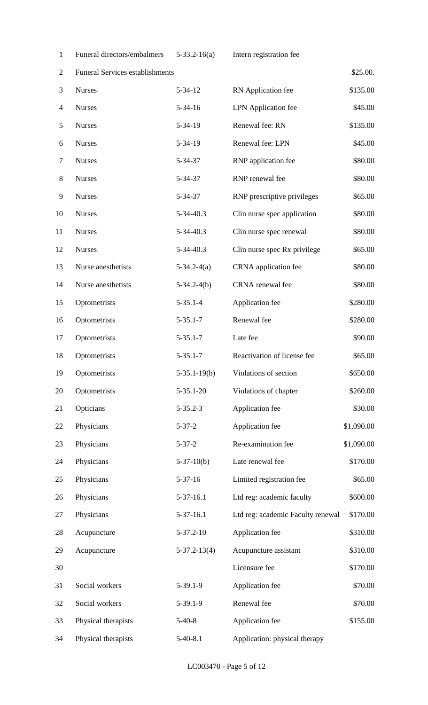Funeral directors/embalmers 5-33.2-16(a) Intern registration fee

| $\overline{2}$ | Funeral Services establishments |                    |                                   | \$25.00.   |
|----------------|---------------------------------|--------------------|-----------------------------------|------------|
| 3              | <b>Nurses</b>                   | $5 - 34 - 12$      | RN Application fee                | \$135.00   |
| $\overline{4}$ | <b>Nurses</b>                   | $5 - 34 - 16$      | <b>LPN</b> Application fee        | \$45.00    |
| $\mathfrak{S}$ | <b>Nurses</b>                   | 5-34-19            | Renewal fee: RN                   | \$135.00   |
| 6              | <b>Nurses</b>                   | 5-34-19            | Renewal fee: LPN                  | \$45.00    |
| 7              | <b>Nurses</b>                   | 5-34-37            | RNP application fee               | \$80.00    |
| $8\,$          | <b>Nurses</b>                   | 5-34-37            | RNP renewal fee                   | \$80.00    |
| 9              | <b>Nurses</b>                   | 5-34-37            | RNP prescriptive privileges       | \$65.00    |
| 10             | <b>Nurses</b>                   | 5-34-40.3          | Clin nurse spec application       | \$80.00    |
| 11             | <b>Nurses</b>                   | 5-34-40.3          | Clin nurse spec renewal           | \$80.00    |
| 12             | <b>Nurses</b>                   | 5-34-40.3          | Clin nurse spec Rx privilege      | \$65.00    |
| 13             | Nurse anesthetists              | $5-34.2-4(a)$      | CRNA application fee              | \$80.00    |
| 14             | Nurse anesthetists              | $5-34.2-4(b)$      | CRNA renewal fee                  | \$80.00    |
| 15             | Optometrists                    | $5 - 35.1 - 4$     | Application fee                   | \$280.00   |
| 16             | Optometrists                    | $5 - 35.1 - 7$     | Renewal fee                       | \$280.00   |
| 17             | Optometrists                    | $5 - 35.1 - 7$     | Late fee                          | \$90.00    |
| 18             | Optometrists                    | $5 - 35.1 - 7$     | Reactivation of license fee       | \$65.00    |
| 19             | Optometrists                    | $5-35.1-19(b)$     | Violations of section             | \$650.00   |
| 20             | Optometrists                    | $5 - 35.1 - 20$    | Violations of chapter             | \$260.00   |
| 21             | Opticians                       | $5 - 35.2 - 3$     | Application fee                   | \$30.00    |
| 22             | Physicians                      | $5 - 37 - 2$       | Application fee                   | \$1,090.00 |
| 23             | Physicians                      | $5 - 37 - 2$       | Re-examination fee                | \$1,090.00 |
| 24             | Physicians                      | $5-37-10(b)$       | Late renewal fee                  | \$170.00   |
| 25             | Physicians                      | $5 - 37 - 16$      | Limited registration fee          | \$65.00    |
| 26             | Physicians                      | $5-37-16.1$        | Ltd reg: academic faculty         | \$600.00   |
| 27             | Physicians                      | $5-37-16.1$        | Ltd reg: academic Faculty renewal | \$170.00   |
| 28             | Acupuncture                     | $5 - 37.2 - 10$    | Application fee                   | \$310.00   |
| 29             | Acupuncture                     | $5 - 37.2 - 13(4)$ | Acupuncture assistant             | \$310.00   |
| 30             |                                 |                    | Licensure fee                     | \$170.00   |
| 31             | Social workers                  | $5-39.1-9$         | Application fee                   | \$70.00    |
| 32             | Social workers                  | $5-39.1-9$         | Renewal fee                       | \$70.00    |
| 33             | Physical therapists             | $5-40-8$           | Application fee                   | \$155.00   |
| 34             | Physical therapists             | $5-40-8.1$         | Application: physical therapy     |            |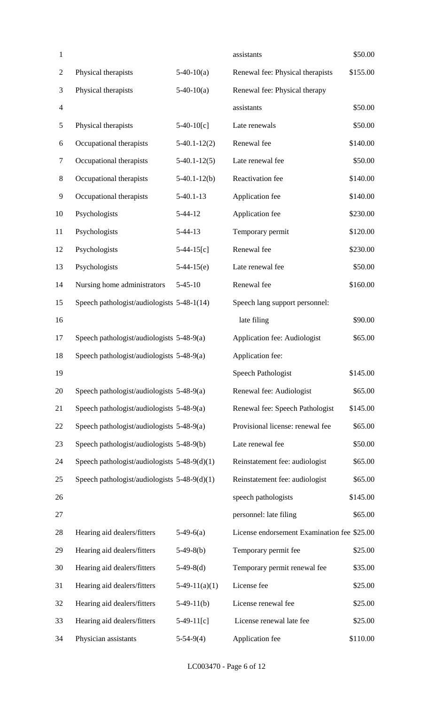| $\mathbf{1}$   |                                                |                 | assistants                                  | \$50.00  |
|----------------|------------------------------------------------|-----------------|---------------------------------------------|----------|
| $\overline{c}$ | Physical therapists                            | $5-40-10(a)$    | Renewal fee: Physical therapists            | \$155.00 |
| 3              | Physical therapists                            | $5-40-10(a)$    | Renewal fee: Physical therapy               |          |
| 4              |                                                |                 | assistants                                  | \$50.00  |
| 5              | Physical therapists                            | $5-40-10[c]$    | Late renewals                               | \$50.00  |
| 6              | Occupational therapists                        | $5-40.1-12(2)$  | Renewal fee                                 | \$140.00 |
| 7              | Occupational therapists                        | $5-40.1-12(5)$  | Late renewal fee                            | \$50.00  |
| $8\,$          | Occupational therapists                        | $5-40.1-12(b)$  | Reactivation fee                            | \$140.00 |
| 9              | Occupational therapists                        | $5-40.1-13$     | Application fee                             | \$140.00 |
| 10             | Psychologists                                  | $5 - 44 - 12$   | Application fee                             | \$230.00 |
| 11             | Psychologists                                  | $5-44-13$       | Temporary permit                            | \$120.00 |
| 12             | Psychologists                                  | $5-44-15[c]$    | Renewal fee                                 | \$230.00 |
| 13             | Psychologists                                  | $5-44-15(e)$    | Late renewal fee                            | \$50.00  |
| 14             | Nursing home administrators                    | $5 - 45 - 10$   | Renewal fee                                 | \$160.00 |
| 15             | Speech pathologist/audiologists 5-48-1(14)     |                 | Speech lang support personnel:              |          |
| 16             |                                                |                 | late filing                                 | \$90.00  |
| 17             | Speech pathologist/audiologists 5-48-9(a)      |                 | Application fee: Audiologist                | \$65.00  |
| 18             | Speech pathologist/audiologists 5-48-9(a)      |                 | Application fee:                            |          |
| 19             |                                                |                 | <b>Speech Pathologist</b>                   | \$145.00 |
| 20             | Speech pathologist/audiologists 5-48-9(a)      |                 | Renewal fee: Audiologist                    | \$65.00  |
| 21             | Speech pathologist/audiologists 5-48-9(a)      |                 | Renewal fee: Speech Pathologist             | \$145.00 |
| 22             | Speech pathologist/audiologists 5-48-9(a)      |                 | Provisional license: renewal fee            | \$65.00  |
| 23             | Speech pathologist/audiologists 5-48-9(b)      |                 | Late renewal fee                            | \$50.00  |
| 24             | Speech pathologist/audiologists $5-48-9(d)(1)$ |                 | Reinstatement fee: audiologist              | \$65.00  |
| 25             | Speech pathologist/audiologists $5-48-9(d)(1)$ |                 | Reinstatement fee: audiologist              | \$65.00  |
| 26             |                                                |                 | speech pathologists                         | \$145.00 |
| 27             |                                                |                 | personnel: late filing                      | \$65.00  |
| 28             | Hearing aid dealers/fitters                    | $5-49-6(a)$     | License endorsement Examination fee \$25.00 |          |
| 29             | Hearing aid dealers/fitters                    | $5-49-8(b)$     | Temporary permit fee                        | \$25.00  |
| 30             | Hearing aid dealers/fitters                    | $5-49-8(d)$     | Temporary permit renewal fee                | \$35.00  |
| 31             | Hearing aid dealers/fitters                    | $5-49-11(a)(1)$ | License fee                                 | \$25.00  |
| 32             | Hearing aid dealers/fitters                    | $5-49-11(b)$    | License renewal fee                         | \$25.00  |
| 33             | Hearing aid dealers/fitters                    | $5-49-11[c]$    | License renewal late fee                    | \$25.00  |
| 34             | Physician assistants                           | $5-54-9(4)$     | Application fee                             | \$110.00 |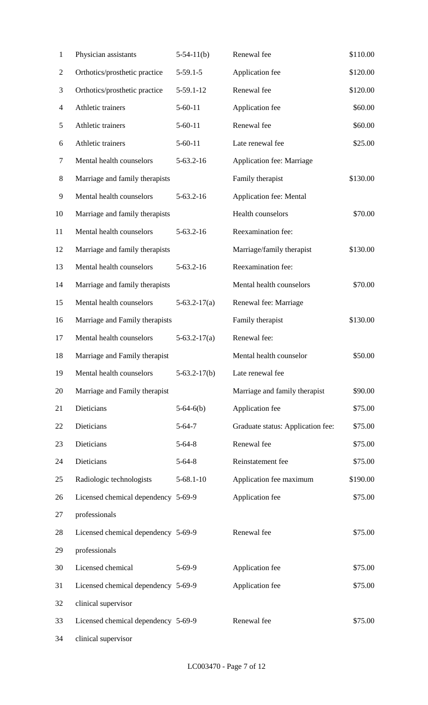| $\mathbf{1}$   | Physician assistants                | $5-54-11(b)$    | Renewal fee                       | \$110.00 |
|----------------|-------------------------------------|-----------------|-----------------------------------|----------|
| $\overline{c}$ | Orthotics/prosthetic practice       | $5-59.1-5$      | Application fee                   | \$120.00 |
| 3              | Orthotics/prosthetic practice       | $5-59.1-12$     | Renewal fee                       | \$120.00 |
| 4              | Athletic trainers                   | $5 - 60 - 11$   | Application fee                   | \$60.00  |
| 5              | Athletic trainers                   | $5 - 60 - 11$   | Renewal fee                       | \$60.00  |
| 6              | Athletic trainers                   | $5 - 60 - 11$   | Late renewal fee                  | \$25.00  |
| $\tau$         | Mental health counselors            | $5 - 63.2 - 16$ | Application fee: Marriage         |          |
| $8\,$          | Marriage and family therapists      |                 | Family therapist                  | \$130.00 |
| 9              | Mental health counselors            | $5-63.2-16$     | <b>Application fee: Mental</b>    |          |
| 10             | Marriage and family therapists      |                 | Health counselors                 | \$70.00  |
| 11             | Mental health counselors            | $5 - 63.2 - 16$ | Reexamination fee:                |          |
| 12             | Marriage and family therapists      |                 | Marriage/family therapist         | \$130.00 |
| 13             | Mental health counselors            | $5 - 63.2 - 16$ | Reexamination fee:                |          |
| 14             | Marriage and family therapists      |                 | Mental health counselors          | \$70.00  |
| 15             | Mental health counselors            | $5-63.2-17(a)$  | Renewal fee: Marriage             |          |
| 16             | Marriage and Family therapists      |                 | Family therapist                  | \$130.00 |
| 17             | Mental health counselors            | $5-63.2-17(a)$  | Renewal fee:                      |          |
| 18             | Marriage and Family therapist       |                 | Mental health counselor           | \$50.00  |
| 19             | Mental health counselors            | $5-63.2-17(b)$  | Late renewal fee                  |          |
| 20             | Marriage and Family therapist       |                 | Marriage and family therapist     | \$90.00  |
| 21             | Dieticians                          | $5-64-6(b)$     | Application fee                   | \$75.00  |
| 22             | Dieticians                          | $5 - 64 - 7$    | Graduate status: Application fee: | \$75.00  |
| 23             | Dieticians                          | $5 - 64 - 8$    | Renewal fee                       | \$75.00  |
| 24             | Dieticians                          | $5 - 64 - 8$    | Reinstatement fee                 | \$75.00  |
| 25             | Radiologic technologists            | $5 - 68.1 - 10$ | Application fee maximum           | \$190.00 |
| 26             | Licensed chemical dependency 5-69-9 |                 | Application fee                   | \$75.00  |
| 27             | professionals                       |                 |                                   |          |
| 28             | Licensed chemical dependency 5-69-9 |                 | Renewal fee                       | \$75.00  |
| 29             | professionals                       |                 |                                   |          |
| 30             | Licensed chemical                   | $5-69-9$        | Application fee                   | \$75.00  |
| 31             | Licensed chemical dependency 5-69-9 |                 | Application fee                   | \$75.00  |
| 32             | clinical supervisor                 |                 |                                   |          |
| 33             | Licensed chemical dependency 5-69-9 |                 | Renewal fee                       | \$75.00  |
| 34             | clinical supervisor                 |                 |                                   |          |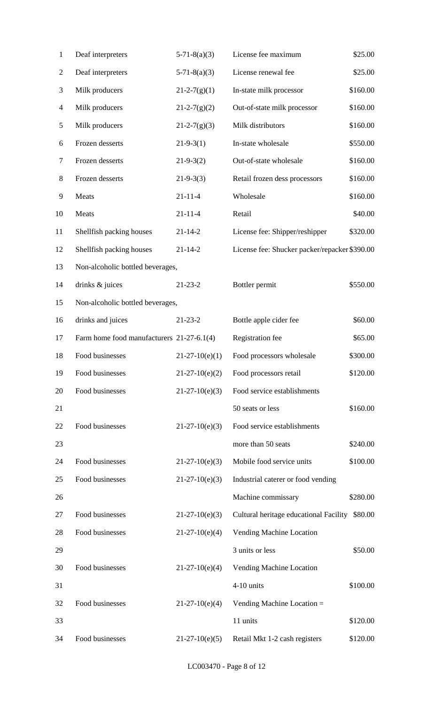| $\mathbf{1}$             | Deaf interpreters                         | $5-71-8(a)(3)$     | License fee maximum                            | \$25.00  |
|--------------------------|-------------------------------------------|--------------------|------------------------------------------------|----------|
| $\overline{c}$           | Deaf interpreters                         | $5 - 71 - 8(a)(3)$ | License renewal fee                            | \$25.00  |
| 3                        | Milk producers                            | $21-2-7(g)(1)$     | In-state milk processor                        | \$160.00 |
| $\overline{\mathcal{A}}$ | Milk producers                            | $21 - 2 - 7(g)(2)$ | Out-of-state milk processor                    | \$160.00 |
| 5                        | Milk producers                            | $21 - 2 - 7(g)(3)$ | Milk distributors                              | \$160.00 |
| 6                        | Frozen desserts                           | $21-9-3(1)$        | In-state wholesale                             | \$550.00 |
| 7                        | Frozen desserts                           | $21-9-3(2)$        | Out-of-state wholesale                         | \$160.00 |
| $8\,$                    | Frozen desserts                           | $21-9-3(3)$        | Retail frozen dess processors                  | \$160.00 |
| 9                        | Meats                                     | $21 - 11 - 4$      | Wholesale                                      | \$160.00 |
| 10                       | Meats                                     | $21 - 11 - 4$      | Retail                                         | \$40.00  |
| 11                       | Shellfish packing houses                  | $21 - 14 - 2$      | License fee: Shipper/reshipper                 | \$320.00 |
| 12                       | Shellfish packing houses                  | $21 - 14 - 2$      | License fee: Shucker packer/repacker \$390.00  |          |
| 13                       | Non-alcoholic bottled beverages,          |                    |                                                |          |
| 14                       | drinks & juices                           | $21 - 23 - 2$      | Bottler permit                                 | \$550.00 |
| 15                       | Non-alcoholic bottled beverages,          |                    |                                                |          |
| 16                       | drinks and juices                         | $21 - 23 - 2$      | Bottle apple cider fee                         | \$60.00  |
| 17                       | Farm home food manufacturers 21-27-6.1(4) |                    | Registration fee                               | \$65.00  |
| 18                       | Food businesses                           | $21-27-10(e)(1)$   | Food processors wholesale                      | \$300.00 |
| 19                       | Food businesses                           | $21-27-10(e)(2)$   | Food processors retail                         | \$120.00 |
| 20                       | Food businesses                           | $21-27-10(e)(3)$   | Food service establishments                    |          |
| 21                       |                                           |                    | 50 seats or less                               | \$160.00 |
| 22                       | Food businesses                           | $21-27-10(e)(3)$   | Food service establishments                    |          |
| 23                       |                                           |                    | more than 50 seats                             | \$240.00 |
| 24                       | Food businesses                           | $21-27-10(e)(3)$   | Mobile food service units                      | \$100.00 |
| 25                       | Food businesses                           | $21-27-10(e)(3)$   | Industrial caterer or food vending             |          |
| 26                       |                                           |                    | Machine commissary                             | \$280.00 |
| 27                       | Food businesses                           | $21-27-10(e)(3)$   | Cultural heritage educational Facility \$80.00 |          |
| 28                       | Food businesses                           | $21-27-10(e)(4)$   | Vending Machine Location                       |          |
| 29                       |                                           |                    | 3 units or less                                | \$50.00  |
| 30                       | Food businesses                           | $21-27-10(e)(4)$   | Vending Machine Location                       |          |
| 31                       |                                           |                    | 4-10 units                                     | \$100.00 |
| 32                       | Food businesses                           | $21-27-10(e)(4)$   | Vending Machine Location =                     |          |
| 33                       |                                           |                    | 11 units                                       | \$120.00 |
| 34                       | Food businesses                           | $21-27-10(e)(5)$   | Retail Mkt 1-2 cash registers                  | \$120.00 |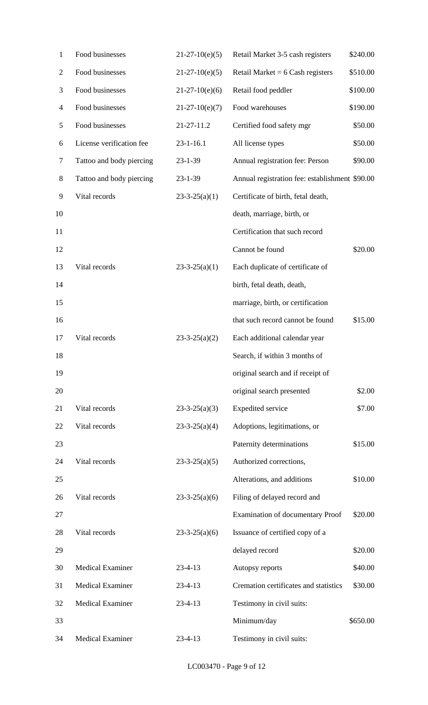| $\mathbf{1}$ | Food businesses          | $21-27-10(e)(5)$    | Retail Market 3-5 cash registers               | \$240.00 |
|--------------|--------------------------|---------------------|------------------------------------------------|----------|
| 2            | Food businesses          | $21-27-10(e)(5)$    | Retail Market = $6$ Cash registers             | \$510.00 |
| 3            | Food businesses          | $21-27-10(e)(6)$    | Retail food peddler                            | \$100.00 |
| 4            | Food businesses          | $21-27-10(e)(7)$    | Food warehouses                                | \$190.00 |
| 5            | Food businesses          | 21-27-11.2          | Certified food safety mgr                      | \$50.00  |
| 6            | License verification fee | $23 - 1 - 16.1$     | All license types                              | \$50.00  |
| 7            | Tattoo and body piercing | $23 - 1 - 39$       | Annual registration fee: Person                | \$90.00  |
| 8            | Tattoo and body piercing | $23 - 1 - 39$       | Annual registration fee: establishment \$90.00 |          |
| 9            | Vital records            | $23-3-25(a)(1)$     | Certificate of birth, fetal death,             |          |
| 10           |                          |                     | death, marriage, birth, or                     |          |
| 11           |                          |                     | Certification that such record                 |          |
| 12           |                          |                     | Cannot be found                                | \$20.00  |
| 13           | Vital records            | $23-3-25(a)(1)$     | Each duplicate of certificate of               |          |
| 14           |                          |                     | birth, fetal death, death,                     |          |
| 15           |                          |                     | marriage, birth, or certification              |          |
| 16           |                          |                     | that such record cannot be found               | \$15.00  |
| 17           | Vital records            | $23-3-25(a)(2)$     | Each additional calendar year                  |          |
| 18           |                          |                     | Search, if within 3 months of                  |          |
| 19           |                          |                     | original search and if receipt of              |          |
| 20           |                          |                     | original search presented                      | \$2.00   |
| 21           | Vital records            | $23-3-25(a)(3)$     | <b>Expedited service</b>                       | \$7.00   |
| 22           | Vital records            | $23-3-25(a)(4)$     | Adoptions, legitimations, or                   |          |
| 23           |                          |                     | Paternity determinations                       | \$15.00  |
| 24           | Vital records            | $23 - 3 - 25(a)(5)$ | Authorized corrections,                        |          |
| 25           |                          |                     | Alterations, and additions                     | \$10.00  |
| 26           | Vital records            | $23 - 3 - 25(a)(6)$ | Filing of delayed record and                   |          |
| 27           |                          |                     | <b>Examination of documentary Proof</b>        | \$20.00  |
| 28           | Vital records            | $23-3-25(a)(6)$     | Issuance of certified copy of a                |          |
| 29           |                          |                     | delayed record                                 | \$20.00  |
| 30           | <b>Medical Examiner</b>  | $23 - 4 - 13$       | Autopsy reports                                | \$40.00  |
| 31           | <b>Medical Examiner</b>  | $23 - 4 - 13$       | Cremation certificates and statistics          | \$30.00  |
| 32           | <b>Medical Examiner</b>  | $23 - 4 - 13$       | Testimony in civil suits:                      |          |
| 33           |                          |                     | Minimum/day                                    | \$650.00 |
| 34           | <b>Medical Examiner</b>  | $23 - 4 - 13$       | Testimony in civil suits:                      |          |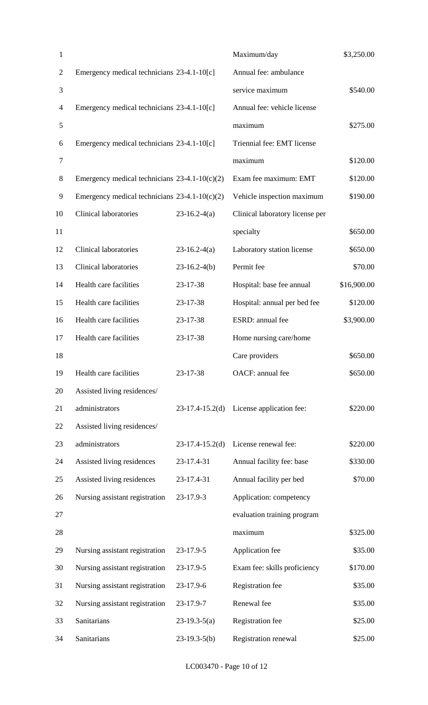| $\mathbf{1}$   |                                                 |                   | Maximum/day                     | \$3,250.00  |
|----------------|-------------------------------------------------|-------------------|---------------------------------|-------------|
| $\overline{2}$ | Emergency medical technicians 23-4.1-10[c]      |                   | Annual fee: ambulance           |             |
| 3              |                                                 |                   | service maximum                 | \$540.00    |
| $\overline{4}$ | Emergency medical technicians 23-4.1-10[c]      |                   | Annual fee: vehicle license     |             |
| 5              |                                                 |                   | maximum                         | \$275.00    |
| 6              | Emergency medical technicians 23-4.1-10[c]      |                   | Triennial fee: EMT license      |             |
| $\tau$         |                                                 |                   | maximum                         | \$120.00    |
| $8\,$          | Emergency medical technicians $23-4.1-10(c)(2)$ |                   | Exam fee maximum: EMT           | \$120.00    |
| 9              | Emergency medical technicians $23-4.1-10(c)(2)$ |                   | Vehicle inspection maximum      | \$190.00    |
| 10             | <b>Clinical laboratories</b>                    | $23-16.2-4(a)$    | Clinical laboratory license per |             |
| 11             |                                                 |                   | specialty                       | \$650.00    |
| 12             | <b>Clinical laboratories</b>                    | $23-16.2-4(a)$    | Laboratory station license      | \$650.00    |
| 13             | <b>Clinical laboratories</b>                    | $23-16.2-4(b)$    | Permit fee                      | \$70.00     |
| 14             | Health care facilities                          | 23-17-38          | Hospital: base fee annual       | \$16,900.00 |
| 15             | Health care facilities                          | 23-17-38          | Hospital: annual per bed fee    | \$120.00    |
| 16             | Health care facilities                          | 23-17-38          | ESRD: annual fee                | \$3,900.00  |
| 17             | Health care facilities                          | 23-17-38          | Home nursing care/home          |             |
| 18             |                                                 |                   | Care providers                  | \$650.00    |
| 19             | Health care facilities                          | 23-17-38          | OACF: annual fee                | \$650.00    |
| 20             | Assisted living residences/                     |                   |                                 |             |
| 21             | administrators                                  | $23-17.4-15.2(d)$ | License application fee:        | \$220.00    |
| 22             | Assisted living residences/                     |                   |                                 |             |
| 23             | administrators                                  | $23-17.4-15.2(d)$ | License renewal fee:            | \$220.00    |
| 24             | Assisted living residences                      | 23-17.4-31        | Annual facility fee: base       | \$330.00    |
| 25             | Assisted living residences                      | 23-17.4-31        | Annual facility per bed         | \$70.00     |
| 26             | Nursing assistant registration                  | 23-17.9-3         | Application: competency         |             |
| 27             |                                                 |                   | evaluation training program     |             |
| 28             |                                                 |                   | maximum                         | \$325.00    |
| 29             | Nursing assistant registration                  | 23-17.9-5         | Application fee                 | \$35.00     |
| 30             | Nursing assistant registration                  | 23-17.9-5         | Exam fee: skills proficiency    | \$170.00    |
| 31             | Nursing assistant registration                  | 23-17.9-6         | Registration fee                | \$35.00     |
| 32             | Nursing assistant registration                  | 23-17.9-7         | Renewal fee                     | \$35.00     |
| 33             | Sanitarians                                     | $23-19.3-5(a)$    | Registration fee                | \$25.00     |
| 34             | Sanitarians                                     | $23-19.3-5(b)$    | Registration renewal            | \$25.00     |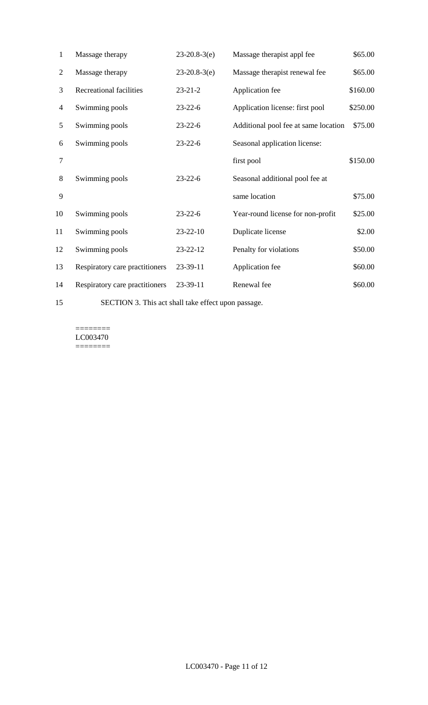| 1              | Massage therapy                | $23-20.8-3(e)$ | Massage therapist appl fee           | \$65.00  |
|----------------|--------------------------------|----------------|--------------------------------------|----------|
| $\overline{2}$ | Massage therapy                | $23-20.8-3(e)$ | Massage therapist renewal fee        | \$65.00  |
| 3              | <b>Recreational facilities</b> | $23 - 21 - 2$  | Application fee                      | \$160.00 |
| $\overline{4}$ | Swimming pools                 | $23 - 22 - 6$  | Application license: first pool      | \$250.00 |
| 5              | Swimming pools                 | $23 - 22 - 6$  | Additional pool fee at same location | \$75.00  |
| 6              | Swimming pools                 | $23 - 22 - 6$  | Seasonal application license:        |          |
| 7              |                                |                | first pool                           | \$150.00 |
| 8              | Swimming pools                 | $23 - 22 - 6$  | Seasonal additional pool fee at      |          |
| 9              |                                |                | same location                        | \$75.00  |
| 10             | Swimming pools                 | $23 - 22 - 6$  | Year-round license for non-profit    | \$25.00  |
| 11             | Swimming pools                 | 23-22-10       | Duplicate license                    | \$2.00   |
| 12             | Swimming pools                 | 23-22-12       | Penalty for violations               | \$50.00  |
| 13             | Respiratory care practitioners | 23-39-11       | Application fee                      | \$60.00  |
| 14             | Respiratory care practitioners | 23-39-11       | Renewal fee                          | \$60.00  |

SECTION 3. This act shall take effect upon passage.

======== LC003470  $=$